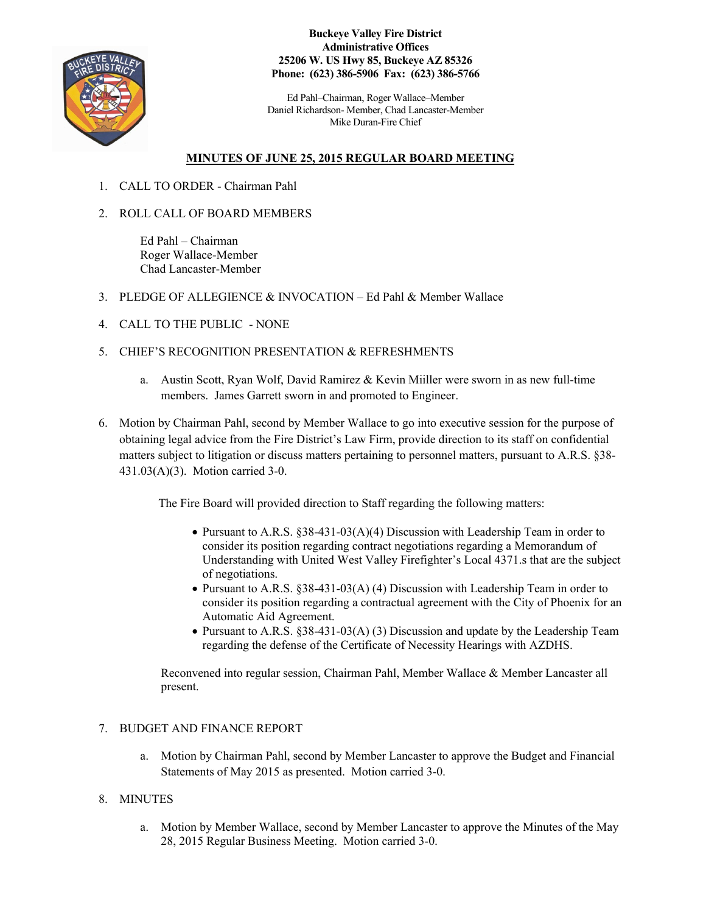

**Buckeye Valley Fire District Administrative Offices 25206 W. US Hwy 85, Buckeye AZ 85326 Phone: (623) 386-5906 Fax: (623) 386-5766**

Ed Pahl–Chairman, Roger Wallace–Member Daniel Richardson- Member, Chad Lancaster-Member Mike Duran-Fire Chief

## **MINUTES OF JUNE 25, 2015 REGULAR BOARD MEETING**

- 1. CALL TO ORDER Chairman Pahl
- 2. ROLL CALL OF BOARD MEMBERS

Ed Pahl – Chairman Roger Wallace-Member Chad Lancaster-Member

- 3. PLEDGE OF ALLEGIENCE & INVOCATION Ed Pahl & Member Wallace
- 4. CALL TO THE PUBLIC NONE
- 5. CHIEF'S RECOGNITION PRESENTATION & REFRESHMENTS
	- a. Austin Scott, Ryan Wolf, David Ramirez & Kevin Miiller were sworn in as new full-time members. James Garrett sworn in and promoted to Engineer.
- 6. Motion by Chairman Pahl, second by Member Wallace to go into executive session for the purpose of obtaining legal advice from the Fire District's Law Firm, provide direction to its staff on confidential matters subject to litigation or discuss matters pertaining to personnel matters, pursuant to A.R.S. §38- 431.03(A)(3). Motion carried 3-0.

The Fire Board will provided direction to Staff regarding the following matters:

- Pursuant to A.R.S. §38-431-03(A)(4) Discussion with Leadership Team in order to consider its position regarding contract negotiations regarding a Memorandum of Understanding with United West Valley Firefighter's Local 4371.s that are the subject of negotiations.
- Pursuant to A.R.S. §38-431-03(A) (4) Discussion with Leadership Team in order to consider its position regarding a contractual agreement with the City of Phoenix for an Automatic Aid Agreement.
- Pursuant to A.R.S. §38-431-03(A) (3) Discussion and update by the Leadership Team regarding the defense of the Certificate of Necessity Hearings with AZDHS.

Reconvened into regular session, Chairman Pahl, Member Wallace & Member Lancaster all present.

## 7. BUDGET AND FINANCE REPORT

a. Motion by Chairman Pahl, second by Member Lancaster to approve the Budget and Financial Statements of May 2015 as presented. Motion carried 3-0.

# 8. MINUTES

a. Motion by Member Wallace, second by Member Lancaster to approve the Minutes of the May 28, 2015 Regular Business Meeting. Motion carried 3-0.